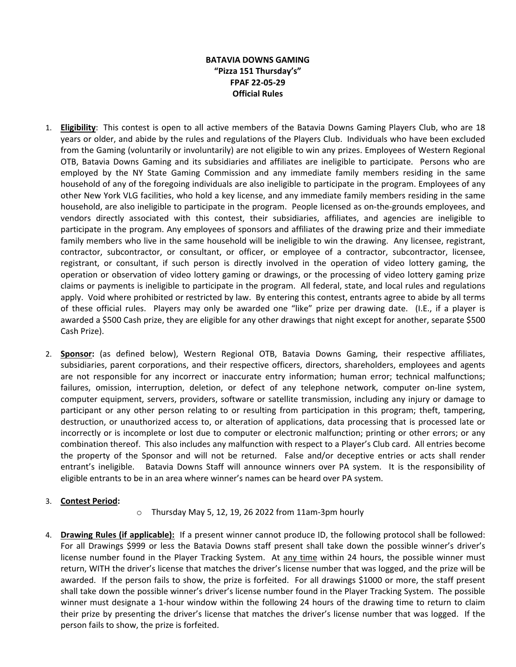## **BATAVIA DOWNS GAMING "Pizza 151 Thursday's" FPAF 22-05-29 Official Rules**

- 1. **Eligibility**: This contest is open to all active members of the Batavia Downs Gaming Players Club, who are 18 years or older, and abide by the rules and regulations of the Players Club. Individuals who have been excluded from the Gaming (voluntarily or involuntarily) are not eligible to win any prizes. Employees of Western Regional OTB, Batavia Downs Gaming and its subsidiaries and affiliates are ineligible to participate. Persons who are employed by the NY State Gaming Commission and any immediate family members residing in the same household of any of the foregoing individuals are also ineligible to participate in the program. Employees of any other New York VLG facilities, who hold a key license, and any immediate family members residing in the same household, are also ineligible to participate in the program. People licensed as on-the-grounds employees, and vendors directly associated with this contest, their subsidiaries, affiliates, and agencies are ineligible to participate in the program. Any employees of sponsors and affiliates of the drawing prize and their immediate family members who live in the same household will be ineligible to win the drawing. Any licensee, registrant, contractor, subcontractor, or consultant, or officer, or employee of a contractor, subcontractor, licensee, registrant, or consultant, if such person is directly involved in the operation of video lottery gaming, the operation or observation of video lottery gaming or drawings, or the processing of video lottery gaming prize claims or payments is ineligible to participate in the program. All federal, state, and local rules and regulations apply. Void where prohibited or restricted by law. By entering this contest, entrants agree to abide by all terms of these official rules. Players may only be awarded one "like" prize per drawing date. (I.E., if a player is awarded a \$500 Cash prize, they are eligible for any other drawings that night except for another, separate \$500 Cash Prize).
- 2. **Sponsor:** (as defined below), Western Regional OTB, Batavia Downs Gaming, their respective affiliates, subsidiaries, parent corporations, and their respective officers, directors, shareholders, employees and agents are not responsible for any incorrect or inaccurate entry information; human error; technical malfunctions; failures, omission, interruption, deletion, or defect of any telephone network, computer on-line system, computer equipment, servers, providers, software or satellite transmission, including any injury or damage to participant or any other person relating to or resulting from participation in this program; theft, tampering, destruction, or unauthorized access to, or alteration of applications, data processing that is processed late or incorrectly or is incomplete or lost due to computer or electronic malfunction; printing or other errors; or any combination thereof. This also includes any malfunction with respect to a Player's Club card. All entries become the property of the Sponsor and will not be returned. False and/or deceptive entries or acts shall render entrant's ineligible. Batavia Downs Staff will announce winners over PA system. It is the responsibility of eligible entrants to be in an area where winner's names can be heard over PA system.

## 3. **Contest Period:**

- $\circ$  Thursday May 5, 12, 19, 26 2022 from 11am-3pm hourly
- 4. **Drawing Rules (if applicable):** If a present winner cannot produce ID, the following protocol shall be followed: For all Drawings \$999 or less the Batavia Downs staff present shall take down the possible winner's driver's license number found in the Player Tracking System. At any time within 24 hours, the possible winner must return, WITH the driver's license that matches the driver's license number that was logged, and the prize will be awarded. If the person fails to show, the prize is forfeited. For all drawings \$1000 or more, the staff present shall take down the possible winner's driver's license number found in the Player Tracking System. The possible winner must designate a 1-hour window within the following 24 hours of the drawing time to return to claim their prize by presenting the driver's license that matches the driver's license number that was logged. If the person fails to show, the prize is forfeited.